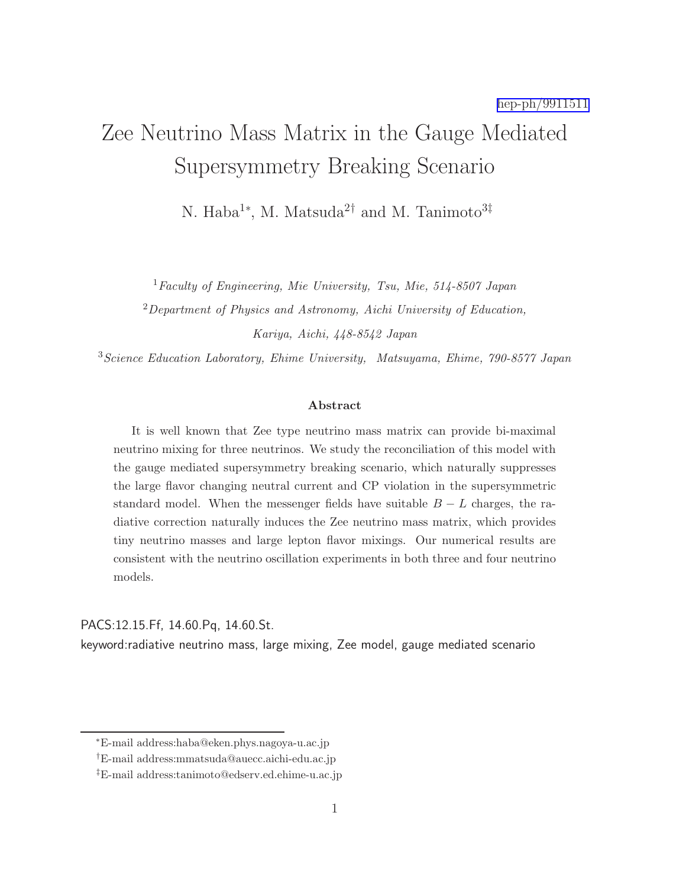# Zee Neutrino Mass Matrix in the Gauge Mediated Supersymmetry Breaking Scenario

N. Haba<sup>1∗</sup>, M. Matsuda<sup>2†</sup> and M. Tanimoto<sup>3‡</sup>

 ${}^{1}$ Faculty of Engineering, Mie University, Tsu, Mie, 514-8507 Japan

<sup>2</sup>Department of Physics and Astronomy, Aichi University of Education, Kariya, Aichi, 448-8542 Japan

<sup>3</sup>Science Education Laboratory, Ehime University, Matsuyama, Ehime, 790-8577 Japan

#### Abstract

It is well known that Zee type neutrino mass matrix can provide bi-maximal neutrino mixing for three neutrinos. We study the reconciliation of this model with the gauge mediated supersymmetry breaking scenario, which naturally suppresses the large flavor changing neutral current and CP violation in the supersymmetric standard model. When the messenger fields have suitable  $B - L$  charges, the radiative correction naturally induces the Zee neutrino mass matrix, which provides tiny neutrino masses and large lepton flavor mixings. Our numerical results are consistent with the neutrino oscillation experiments in both three and four neutrino models.

### PACS:12.15.Ff, 14.60.Pq, 14.60.St.

keyword:radiative neutrino mass, large mixing, Zee model, gauge mediated scenario

<sup>∗</sup>E-mail address:haba@eken.phys.nagoya-u.ac.jp

<sup>†</sup>E-mail address:mmatsuda@auecc.aichi-edu.ac.jp

<sup>‡</sup>E-mail address:tanimoto@edserv.ed.ehime-u.ac.jp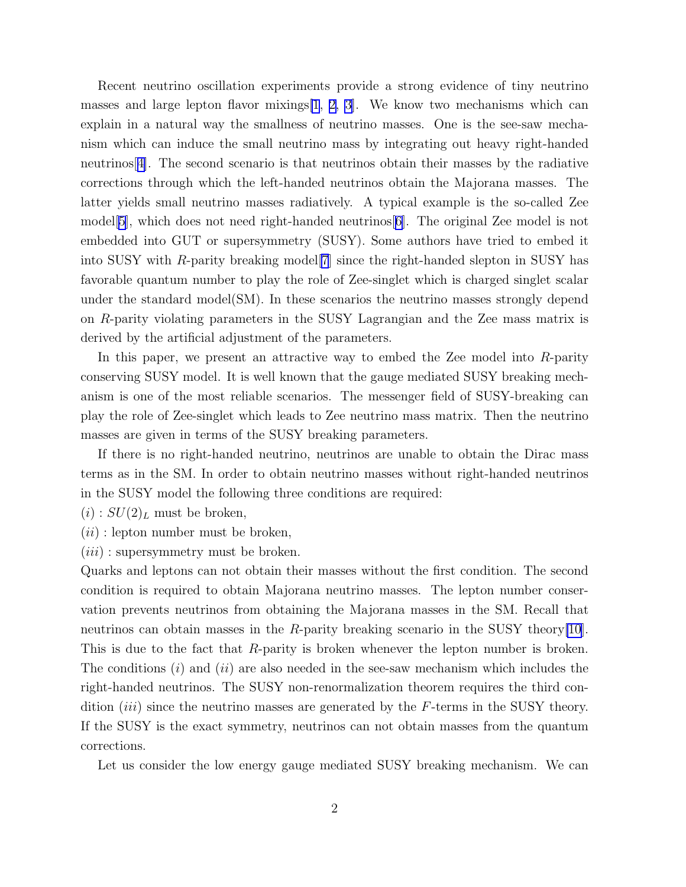Recent neutrino oscillation experiments provide a strong evidence of tiny neutrino masses and large lepton flavor mixings  $[1, 2, 3]$  $[1, 2, 3]$  $[1, 2, 3]$  $[1, 2, 3]$ . We know two mechanisms which can explain in a natural way the smallness of neutrino masses. One is the see-saw mechanism which can induce the small neutrino mass by integrating out heavy right-handed neutrinos[[4\]](#page-9-0). The second scenario is that neutrinos obtain their masses by the radiative corrections through which the left-handed neutrinos obtain the Majorana masses. The latter yields small neutrino masses radiatively. A typical example is the so-called Zee model[\[5\]](#page-9-0), which does not need right-handed neutrinos[\[6](#page-9-0)]. The original Zee model is not embedded into GUT or supersymmetry (SUSY). Some authors have tried to embed it into SUSY with R-parity breaking model[\[7](#page-10-0)] since the right-handed slepton in SUSY has favorable quantum number to play the role of Zee-singlet which is charged singlet scalar under the standard model(SM). In these scenarios the neutrino masses strongly depend on R-parity violating parameters in the SUSY Lagrangian and the Zee mass matrix is derived by the artificial adjustment of the parameters.

In this paper, we present an attractive way to embed the Zee model into R-parity conserving SUSY model. It is well known that the gauge mediated SUSY breaking mechanism is one of the most reliable scenarios. The messenger field of SUSY-breaking can play the role of Zee-singlet which leads to Zee neutrino mass matrix. Then the neutrino masses are given in terms of the SUSY breaking parameters.

If there is no right-handed neutrino, neutrinos are unable to obtain the Dirac mass terms as in the SM. In order to obtain neutrino masses without right-handed neutrinos in the SUSY model the following three conditions are required:

 $(i) : SU(2)_L$  must be broken,

 $(ii)$ : lepton number must be broken,

 $(iii)$ : supersymmetry must be broken.

Quarks and leptons can not obtain their masses without the first condition. The second condition is required to obtain Majorana neutrino masses. The lepton number conservation prevents neutrinos from obtaining the Majorana masses in the SM. Recall that neutrinos can obtain masses in the R-parity breaking scenario in the SUSY theory $|10|$ . This is due to the fact that R-parity is broken whenever the lepton number is broken. The conditions  $(i)$  and  $(ii)$  are also needed in the see-saw mechanism which includes the right-handed neutrinos. The SUSY non-renormalization theorem requires the third condition  $(iii)$  since the neutrino masses are generated by the F-terms in the SUSY theory. If the SUSY is the exact symmetry, neutrinos can not obtain masses from the quantum corrections.

Let us consider the low energy gauge mediated SUSY breaking mechanism. We can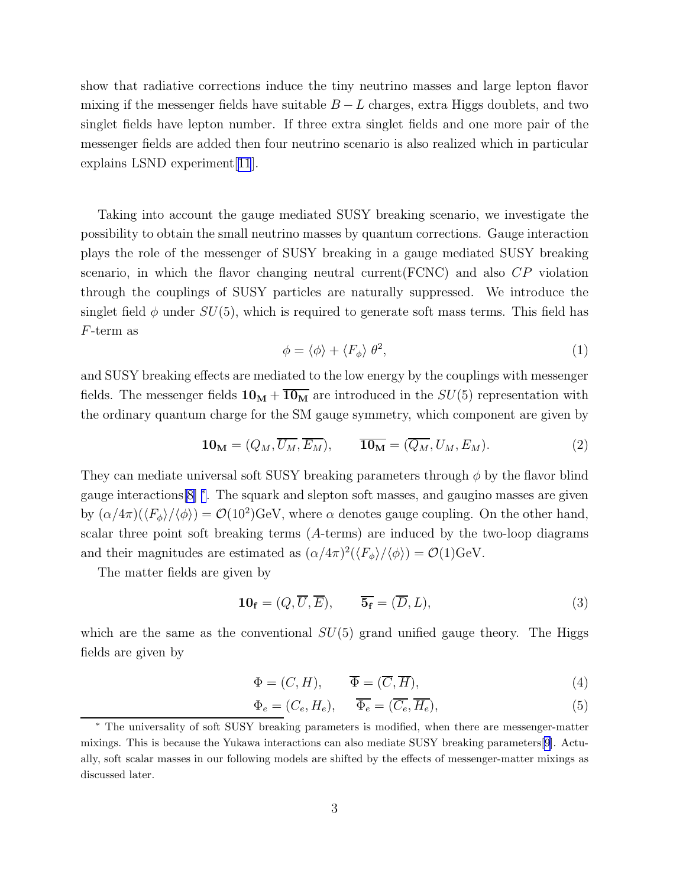<span id="page-2-0"></span>show that radiative corrections induce the tiny neutrino masses and large lepton flavor mixing if the messenger fields have suitable  $B - L$  charges, extra Higgs doublets, and two singlet fields have lepton number. If three extra singlet fields and one more pair of the messenger fields are added then four neutrino scenario is also realized which in particular explains LSND experiment[[11](#page-10-0)].

Taking into account the gauge mediated SUSY breaking scenario, we investigate the possibility to obtain the small neutrino masses by quantum corrections. Gauge interaction plays the role of the messenger of SUSY breaking in a gauge mediated SUSY breaking scenario, in which the flavor changing neutral current(FCNC) and also CP violation through the couplings of SUSY particles are naturally suppressed. We introduce the singlet field  $\phi$  under  $SU(5)$ , which is required to generate soft mass terms. This field has F-term as

$$
\phi = \langle \phi \rangle + \langle F_{\phi} \rangle \, \theta^2,\tag{1}
$$

and SUSY breaking effects are mediated to the low energy by the couplings with messenger fields. The messenger fields  $10_M + \overline{10_M}$  are introduced in the  $SU(5)$  representation with the ordinary quantum charge for the SM gauge symmetry, which component are given by

$$
\mathbf{10_M} = (Q_M, \overline{U_M}, \overline{E_M}), \qquad \overline{\mathbf{10_M}} = (\overline{Q_M}, U_M, E_M). \tag{2}
$$

They can mediate universal soft SUSY breaking parameters through  $\phi$  by the flavor blind gauge interactions[\[8](#page-10-0)] <sup>∗</sup> . The squark and slepton soft masses, and gaugino masses are given by  $(\alpha/4\pi)(\langle F_{\phi}\rangle/\langle \phi\rangle) = \mathcal{O}(10^2)\text{GeV}$ , where  $\alpha$  denotes gauge coupling. On the other hand, scalar three point soft breaking terms (A-terms) are induced by the two-loop diagrams and their magnitudes are estimated as  $(\alpha/4\pi)^2(\langle F_{\phi}\rangle/\langle \phi\rangle) = \mathcal{O}(1)\text{GeV}.$ 

The matter fields are given by

$$
10_f = (Q, \overline{U}, \overline{E}), \qquad \overline{5_f} = (\overline{D}, L), \tag{3}
$$

which are the same as the conventional  $SU(5)$  grand unified gauge theory. The Higgs fields are given by

$$
\Phi = (C, H), \qquad \overline{\Phi} = (\overline{C}, \overline{H}), \tag{4}
$$

$$
\Phi_e = (C_e, H_e), \qquad \overline{\Phi_e} = (\overline{C_e}, \overline{H_e}), \tag{5}
$$

<sup>∗</sup> The universality of soft SUSY breaking parameters is modified, when there are messenger-matter mixings. This is because the Yukawa interactions can also mediate SUSY breaking parameters[\[9](#page-10-0)]. Actually, soft scalar masses in our following models are shifted by the effects of messenger-matter mixings as discussed later.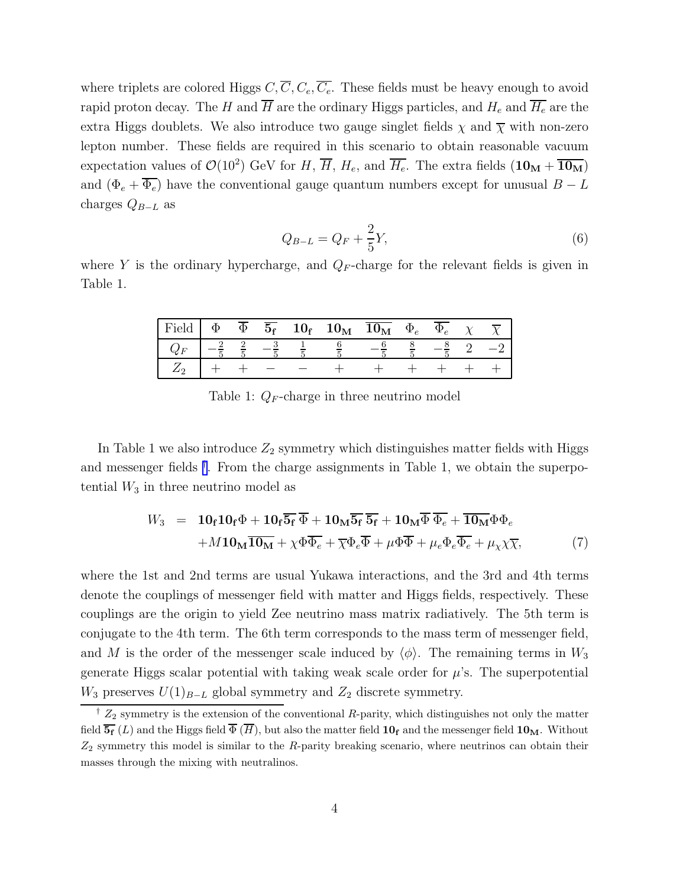<span id="page-3-0"></span>where triplets are colored Higgs  $C, \overline{C}, C_e, \overline{C_e}$ . These fields must be heavy enough to avoid rapid proton decay. The H and  $\overline{H}$  are the ordinary Higgs particles, and  $H_e$  and  $\overline{H_e}$  are the extra Higgs doublets. We also introduce two gauge singlet fields  $\chi$  and  $\overline{\chi}$  with non-zero lepton number. These fields are required in this scenario to obtain reasonable vacuum expectation values of  $\mathcal{O}(10^2)$  GeV for H,  $\overline{H}$ ,  $H_e$ , and  $\overline{H_e}$ . The extra fields  $(10_M + \overline{10_M})$ and  $(\Phi_e + \overline{\Phi_e})$  have the conventional gauge quantum numbers except for unusual  $B - L$ charges  $Q_{B-L}$  as

$$
Q_{B-L} = Q_F + \frac{2}{5}Y,\tag{6}
$$

where Y is the ordinary hypercharge, and  $Q_F$ -charge for the relevant fields is given in Table 1.

| Field       | $\Phi$ | $\overline{\Phi}$ |  | $\overline{5_{\rm f}}$ 10 <sub>f</sub> 10 <sub>M</sub> | $10_{\rm M}$ | $\Phi_e$ | $\Psi_e$ |  |
|-------------|--------|-------------------|--|--------------------------------------------------------|--------------|----------|----------|--|
| $Q_{\star}$ |        |                   |  |                                                        |              |          |          |  |
|             |        |                   |  |                                                        |              |          |          |  |

Table 1:  $Q_F$ -charge in three neutrino model

In Table 1 we also introduce  $Z_2$  symmetry which distinguishes matter fields with Higgs and messenger fields † . From the charge assignments in Table 1, we obtain the superpotential  $W_3$  in three neutrino model as

$$
W_3 = 10_f 10_f \Phi + 10_f \overline{5_f} \overline{\Phi} + 10_M \overline{5_f} \overline{5_f} + 10_M \overline{\Phi} \overline{\Phi}_e + \overline{10_M} \Phi \Phi_e
$$
  
+
$$
M 10_M \overline{10_M} + \chi \Phi \overline{\Phi}_e + \overline{\chi} \Phi_e \overline{\Phi} + \mu \Phi \overline{\Phi} + \mu_e \Phi_e \overline{\Phi}_e + \mu_\chi \chi \overline{\chi},
$$
(7)

where the 1st and 2nd terms are usual Yukawa interactions, and the 3rd and 4th terms denote the couplings of messenger field with matter and Higgs fields, respectively. These couplings are the origin to yield Zee neutrino mass matrix radiatively. The 5th term is conjugate to the 4th term. The 6th term corresponds to the mass term of messenger field, and M is the order of the messenger scale induced by  $\langle \phi \rangle$ . The remaining terms in  $W_3$ generate Higgs scalar potential with taking weak scale order for  $\mu$ 's. The superpotential  $W_3$  preserves  $U(1)_{B-L}$  global symmetry and  $Z_2$  discrete symmetry.

<sup>&</sup>lt;sup> $\dagger$ </sup>  $Z_2$  symmetry is the extension of the conventional R-parity, which distinguishes not only the matter field  $\overline{\mathbf{5}_{\mathbf{f}}}(L)$  and the Higgs field  $\overline{\Phi}(\overline{H})$ , but also the matter field  $\mathbf{10}_{\mathbf{f}}$  and the messenger field  $\mathbf{10}_{\mathbf{M}}$ . Without  $Z_2$  symmetry this model is similar to the R-parity breaking scenario, where neutrinos can obtain their masses through the mixing with neutralinos.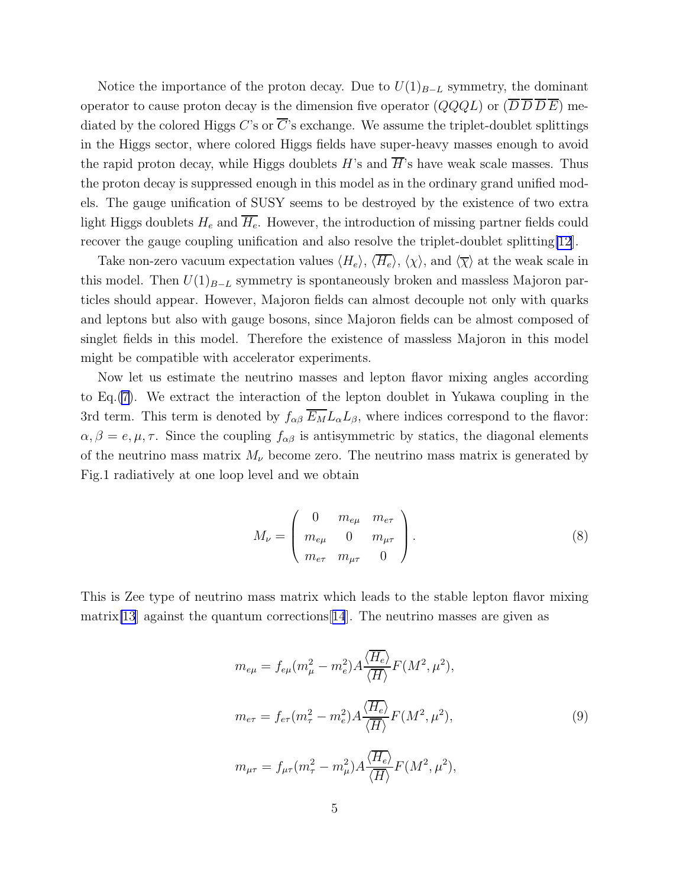<span id="page-4-0"></span>Notice the importance of the proton decay. Due to  $U(1)_{B-L}$  symmetry, the dominant operator to cause proton decay is the dimension five operator  $(QQQL)$  or  $(D D D E)$  mediated by the colored Higgs C's or  $\overline{C}$ 's exchange. We assume the triplet-doublet splittings in the Higgs sector, where colored Higgs fields have super-heavy masses enough to avoid the rapid proton decay, while Higgs doublets  $H$ 's and  $\overline{H}$ 's have weak scale masses. Thus the proton decay is suppressed enough in this model as in the ordinary grand unified models. The gauge unification of SUSY seems to be destroyed by the existence of two extra light Higgs doublets  $H_e$  and  $\overline{H_e}$ . However, the introduction of missing partner fields could recover the gauge coupling unification and also resolve the triplet-doublet splitting[\[12](#page-10-0)].

Take non-zero vacuum expectation values  $\langle H_e \rangle$ ,  $\langle \overline{H_e} \rangle$ ,  $\langle \chi \rangle$ , and  $\langle \overline{\chi} \rangle$  at the weak scale in this model. Then  $U(1)_{B-L}$  symmetry is spontaneously broken and massless Majoron particles should appear. However, Majoron fields can almost decouple not only with quarks and leptons but also with gauge bosons, since Majoron fields can be almost composed of singlet fields in this model. Therefore the existence of massless Majoron in this model might be compatible with accelerator experiments.

Now let us estimate the neutrino masses and lepton flavor mixing angles according to Eq.[\(7\)](#page-3-0). We extract the interaction of the lepton doublet in Yukawa coupling in the 3rd term. This term is denoted by  $f_{\alpha\beta} \overline{E_M} L_\alpha L_\beta$ , where indices correspond to the flavor:  $\alpha, \beta = e, \mu, \tau$ . Since the coupling  $f_{\alpha\beta}$  is antisymmetric by statics, the diagonal elements of the neutrino mass matrix  $M_{\nu}$  become zero. The neutrino mass matrix is generated by Fig.1 radiatively at one loop level and we obtain

$$
M_{\nu} = \begin{pmatrix} 0 & m_{e\mu} & m_{e\tau} \\ m_{e\mu} & 0 & m_{\mu\tau} \\ m_{e\tau} & m_{\mu\tau} & 0 \end{pmatrix}.
$$
 (8)

This is Zee type of neutrino mass matrix which leads to the stable lepton flavor mixing matrix  $[13]$  $[13]$  against the quantum corrections  $[14]$  $[14]$  $[14]$ . The neutrino masses are given as

$$
m_{e\mu} = f_{e\mu}(m_{\mu}^2 - m_e^2) A \frac{\langle \overline{H_e} \rangle}{\langle \overline{H} \rangle} F(M^2, \mu^2),
$$
  

$$
m_{e\tau} = f_{e\tau}(m_{\tau}^2 - m_e^2) A \frac{\langle \overline{H_e} \rangle}{\langle \overline{H} \rangle} F(M^2, \mu^2),
$$
  

$$
m_{\mu\tau} = f_{\mu\tau}(m_{\tau}^2 - m_{\mu}^2) A \frac{\langle \overline{H_e} \rangle}{\langle \overline{H} \rangle} F(M^2, \mu^2),
$$
 (9)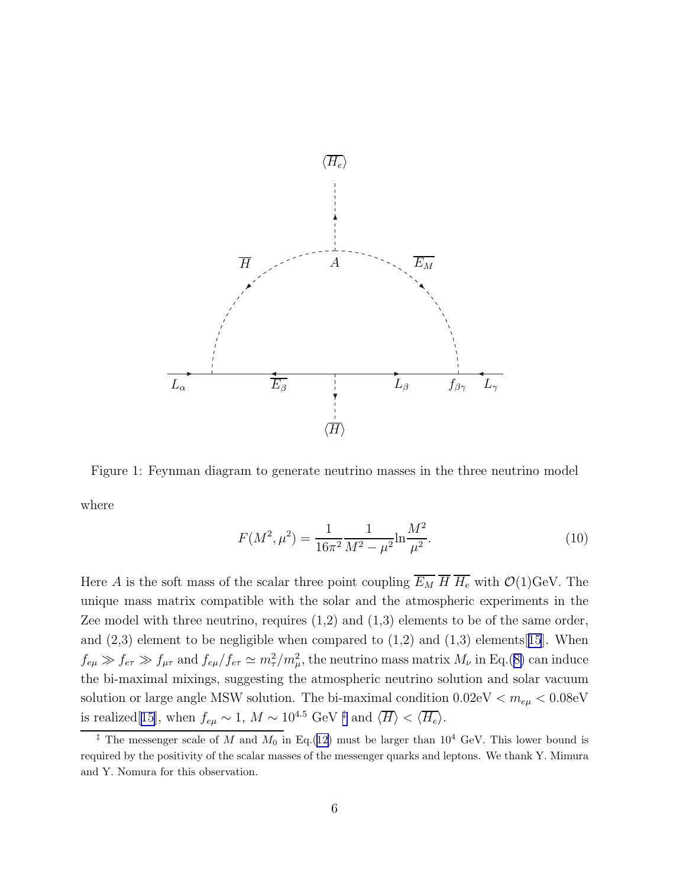

Figure 1: Feynman diagram to generate neutrino masses in the three neutrino model where

$$
F(M^2, \mu^2) = \frac{1}{16\pi^2} \frac{1}{M^2 - \mu^2} \ln \frac{M^2}{\mu^2}.
$$
 (10)

Here A is the soft mass of the scalar three point coupling  $\overline{E_M}$   $\overline{H}$   $\overline{H_e}$  with  $\mathcal{O}(1)$ GeV. The unique mass matrix compatible with the solar and the atmospheric experiments in the Zee model with three neutrino, requires  $(1,2)$  and  $(1,3)$  elements to be of the same order, and  $(2,3)$  element to be negligible when compared to  $(1,2)$  and  $(1,3)$  elements[[15](#page-11-0)]. When  $f_{e\mu} \gg f_{e\tau} \gg f_{\mu\tau}$  and  $f_{e\mu}/f_{e\tau} \simeq m_{\tau}^2/m_{\mu}^2$ , the neutrino mass matrix  $M_{\nu}$  in Eq.([8\)](#page-4-0) can induce the bi-maximal mixings, suggesting the atmospheric neutrino solution and solar vacuum solution or large angle MSW solution. The bi-maximal condition  $0.02 \text{eV} < m_{e\mu} < 0.08 \text{eV}$ is realized[[15\]](#page-11-0), when  $f_{e\mu} \sim 1, M \sim 10^{4.5}$  GeV <sup>‡</sup> and  $\langle \overline{H} \rangle < \langle \overline{H_e} \rangle$ .

<sup>&</sup>lt;sup>‡</sup> The messenger scale of M and  $M_0$  in Eq.([12\)](#page-6-0) must be larger than 10<sup>4</sup> GeV. This lower bound is required by the positivity of the scalar masses of the messenger quarks and leptons. We thank Y. Mimura and Y. Nomura for this observation.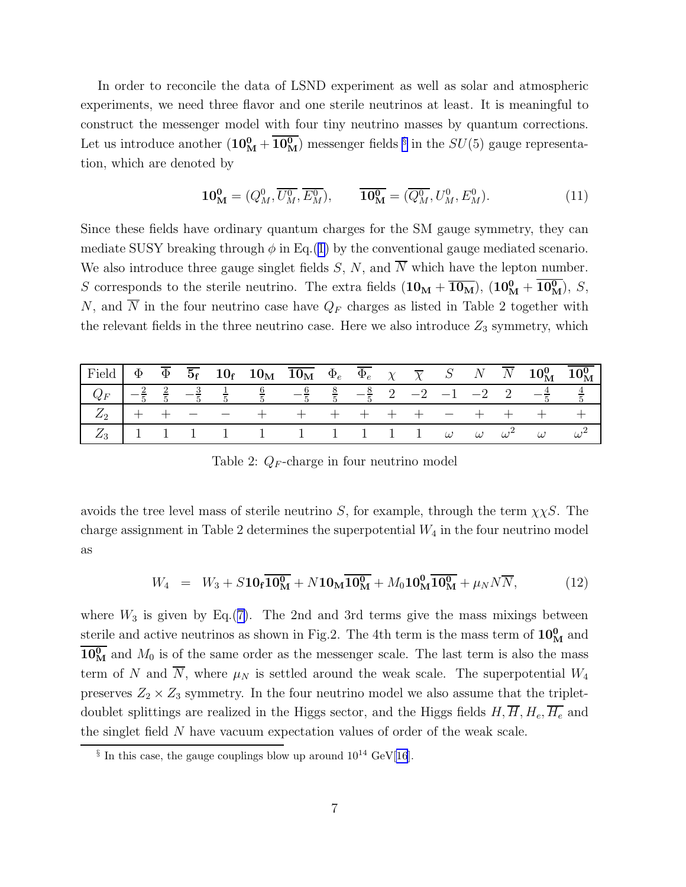<span id="page-6-0"></span>In order to reconcile the data of LSND experiment as well as solar and atmospheric experiments, we need three flavor and one sterile neutrinos at least. It is meaningful to construct the messenger model with four tiny neutrino masses by quantum corrections. Let us introduce another  $(10_M^0 + \overline{10_M^0})$  messenger fields <sup>§</sup> in the  $SU(5)$  gauge representation, which are denoted by

$$
\mathbf{10_M^0} = (Q_M^0, \overline{U_M^0}, \overline{E_M^0}), \qquad \overline{\mathbf{10_M^0}} = (\overline{Q_M^0}, U_M^0, E_M^0). \tag{11}
$$

Since these fields have ordinary quantum charges for the SM gauge symmetry, they can mediate SUSY breaking through  $\phi$  in Eq.([1\)](#page-2-0) by the conventional gauge mediated scenario. We also introduce three gauge singlet fields  $S, N$ , and  $\overline{N}$  which have the lepton number. S corresponds to the sterile neutrino. The extra fields  $(10_M + \overline{10_M})$ ,  $(10_M^0 + \overline{10_M^0})$ , S, N, and  $\overline{N}$  in the four neutrino case have  $Q_F$  charges as listed in Table 2 together with the relevant fields in the three neutrino case. Here we also introduce  $Z_3$  symmetry, which

| $\begin{array}{ rclcl } \hline \end{array}$ Field $\begin{array}{ cclcl } \Phi & \overline{\Phi} & \overline{\Phi_{\rm f}} & \mathbf{10}_{\rm f} & \mathbf{10}_{\rm M} & \overline{\mathbf{10}_{\rm M}} & \Phi_e & \overline{\Phi_e} & \chi & \overline{\chi} & S & N & \overline{N} & \mathbf{10}_{\rm M}^0 & \overline{\mathbf{10}_{\rm M}^0} \end{array}$ |  |  |  |  |  |  |  |  |
|--------------------------------------------------------------------------------------------------------------------------------------------------------------------------------------------------------------------------------------------------------------------------------------------------------------------------------------------------------------|--|--|--|--|--|--|--|--|
| $Q_F$ $-\frac{2}{5}$ $\frac{2}{5}$ $-\frac{3}{5}$ $\frac{1}{5}$ $\frac{6}{5}$ $-\frac{6}{5}$ $\frac{8}{5}$ $-\frac{8}{5}$ 2 $-2$ $-1$ $-2$ 2 $-\frac{4}{5}$ $\frac{4}{5}$                                                                                                                                                                                    |  |  |  |  |  |  |  |  |
| $\begin{array}{ ccccccccccccccccccc }\hline Z_2 & + & + & - & - & + & + & + & + & + & + & - & + & + & + & + \ \hline \end{array}$                                                                                                                                                                                                                            |  |  |  |  |  |  |  |  |
| $\begin{array}{ ccc ccccccccccc }\hline Z_3&1&1&1&1&1&1&1&1&1&1&1&\omega&\omega&\omega^2&\omega&\omega^2 \ \hline \end{array}$                                                                                                                                                                                                                               |  |  |  |  |  |  |  |  |

Table 2:  $Q_F$ -charge in four neutrino model

avoids the tree level mass of sterile neutrino S, for example, through the term  $\chi \chi S$ . The charge assignment in Table 2 determines the superpotential  $W_4$  in the four neutrino model as

$$
W_4 = W_3 + S10_f \overline{10_M^0} + N10_M \overline{10_M^0} + M_0 10_M^0 \overline{10_M^0} + \mu_N N \overline{N},
$$
 (12)

where  $W_3$  is given by Eq.([7\)](#page-3-0). The 2nd and 3rd terms give the mass mixings between sterile and active neutrinos as shown in Fig.2. The 4th term is the mass term of  $10<sup>0</sup><sub>M</sub>$  and  $\overline{10^0_M}$  and  $M_0$  is of the same order as the messenger scale. The last term is also the mass term of N and  $\overline{N}$ , where  $\mu_N$  is settled around the weak scale. The superpotential  $W_4$ preserves  $Z_2 \times Z_3$  symmetry. In the four neutrino model we also assume that the tripletdoublet splittings are realized in the Higgs sector, and the Higgs fields  $H, \overline{H}, H_e, \overline{H}_e$  and the singlet field N have vacuum expectation values of order of the weak scale.

 $\S$  In this case, the gauge couplings blow up around  $10^{14}$  GeV[\[16](#page-11-0)].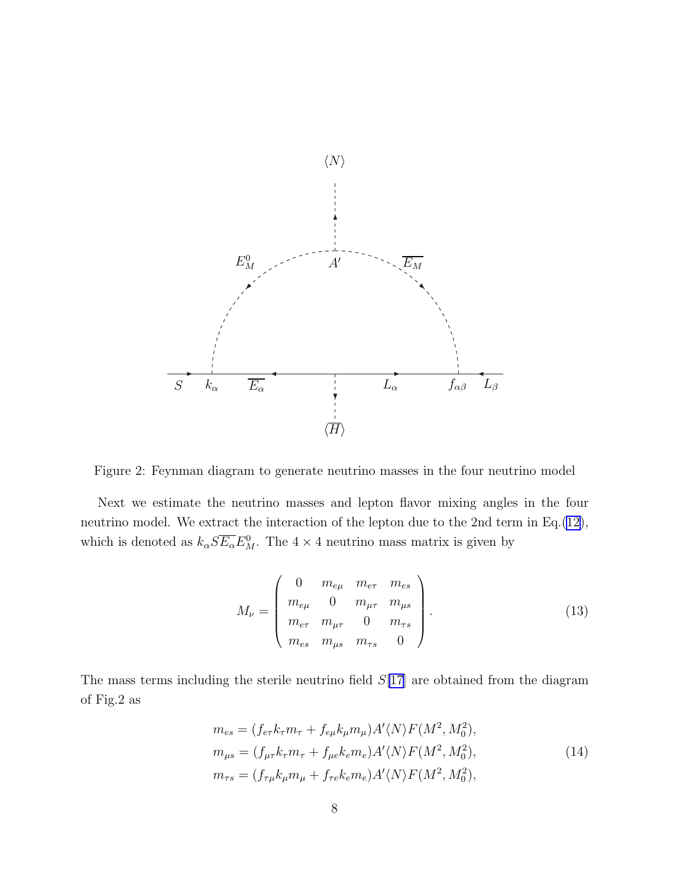<span id="page-7-0"></span>

Figure 2: Feynman diagram to generate neutrino masses in the four neutrino model

Next we estimate the neutrino masses and lepton flavor mixing angles in the four neutrino model. We extract the interaction of the lepton due to the 2nd term in Eq.([12\)](#page-6-0), which is denoted as  $k_{\alpha} S \overline{E_{\alpha}} E_M^0$ . The  $4 \times 4$  neutrino mass matrix is given by

$$
M_{\nu} = \begin{pmatrix} 0 & m_{e\mu} & m_{e\tau} & m_{es} \\ m_{e\mu} & 0 & m_{\mu\tau} & m_{\mu s} \\ m_{e\tau} & m_{\mu\tau} & 0 & m_{\tau s} \\ m_{es} & m_{\mu s} & m_{\tau s} & 0 \end{pmatrix}.
$$
 (13)

The mass terms including the sterile neutrino field  $S[17]$  $S[17]$  $S[17]$  are obtained from the diagram of Fig.2 as

$$
m_{es} = (f_{e\tau}k_{\tau}m_{\tau} + f_{e\mu}k_{\mu}m_{\mu})A'\langle N\rangle F(M^2, M_0^2),
$$
  
\n
$$
m_{\mu s} = (f_{\mu\tau}k_{\tau}m_{\tau} + f_{\mu e}k_{e}m_{e})A'\langle N\rangle F(M^2, M_0^2),
$$
  
\n
$$
m_{\tau s} = (f_{\tau\mu}k_{\mu}m_{\mu} + f_{\tau e}k_{e}m_{e})A'\langle N\rangle F(M^2, M_0^2),
$$
\n(14)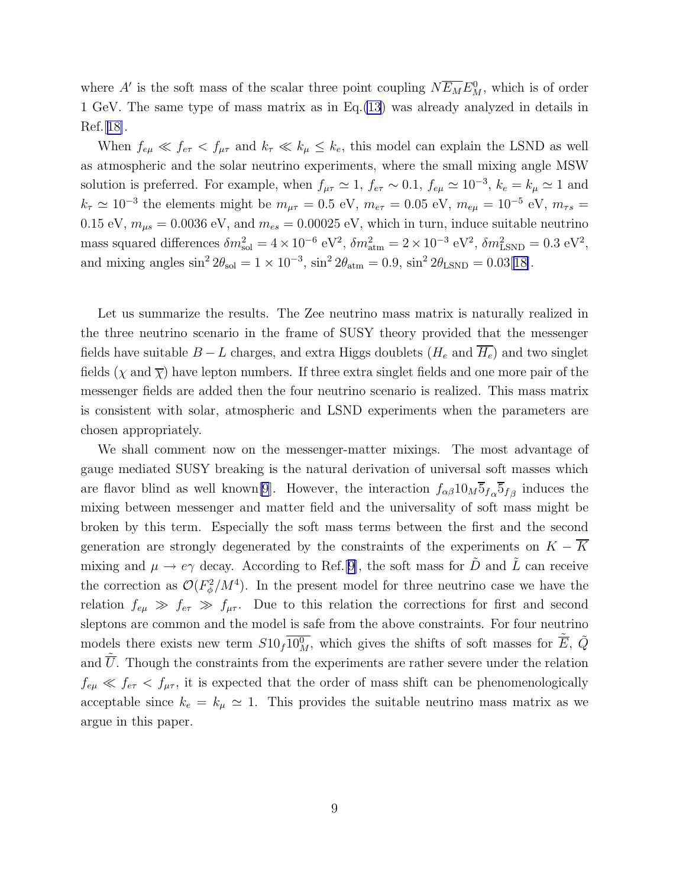where A' is the soft mass of the scalar three point coupling  $N\overline{E_M}E^0_M$ , which is of order 1 GeV. The same type of mass matrix as in Eq.[\(13](#page-7-0)) was already analyzed in details in  $\text{Ref.}$ [[18\]](#page-11-0).

When  $f_{e\mu} \ll f_{e\tau} < f_{\mu\tau}$  and  $k_{\tau} \ll k_{\mu} \leq k_{e}$ , this model can explain the LSND as well as atmospheric and the solar neutrino experiments, where the small mixing angle MSW solution is preferred. For example, when  $f_{\mu\tau} \simeq 1$ ,  $f_{e\tau} \sim 0.1$ ,  $f_{e\mu} \simeq 10^{-3}$ ,  $k_e = k_\mu \simeq 1$  and  $k_{\tau} \simeq 10^{-3}$  the elements might be  $m_{\mu\tau} = 0.5$  eV,  $m_{e\tau} = 0.05$  eV,  $m_{e\mu} = 10^{-5}$  eV,  $m_{\tau s} =$ 0.15 eV,  $m_{\mu s} = 0.0036$  eV, and  $m_{es} = 0.00025$  eV, which in turn, induce suitable neutrino mass squared differences  $\delta m_{\text{sol}}^2 = 4 \times 10^{-6} \text{ eV}^2$ ,  $\delta m_{\text{atm}}^2 = 2 \times 10^{-3} \text{ eV}^2$ ,  $\delta m_{\text{LSND}}^2 = 0.3 \text{ eV}^2$ , and mixing angles  $\sin^2 2\theta_{\text{sol}} = 1 \times 10^{-3}$ ,  $\sin^2 2\theta_{\text{atm}} = 0.9$ ,  $\sin^2 2\theta_{\text{LSND}} = 0.03[18]$  $\sin^2 2\theta_{\text{LSND}} = 0.03[18]$ .

Let us summarize the results. The Zee neutrino mass matrix is naturally realized in the three neutrino scenario in the frame of SUSY theory provided that the messenger fields have suitable  $B - L$  charges, and extra Higgs doublets  $(H_e \text{ and } \overline{H_e})$  and two singlet fields ( $\chi$  and  $\overline{\chi}$ ) have lepton numbers. If three extra singlet fields and one more pair of the messenger fields are added then the four neutrino scenario is realized. This mass matrix is consistent with solar, atmospheric and LSND experiments when the parameters are chosen appropriately.

We shall comment now on the messenger-matter mixings. The most advantage of gauge mediated SUSY breaking is the natural derivation of universal soft masses which are flavor blind as well known<sup>[\[9](#page-10-0)]</sup>. However, the interaction  $f_{\alpha\beta}10_M\overline{5}_{f_{\alpha}}\overline{5}_{f_{\beta}}$  induces the mixing between messenger and matter field and the universality of soft mass might be broken by this term. Especially the soft mass terms between the first and the second generation are strongly degenerated by the constraints of the experiments on  $K - \overline{K}$ mixing and  $\mu \to e\gamma$  decay. According to Ref.[[9\]](#page-10-0), the soft mass for  $\tilde{D}$  and  $\tilde{L}$  can receive the correction as  $\mathcal{O}(F_{\phi}^2)$  $\frac{m^2}{\phi}$ /M<sup>4</sup>). In the present model for three neutrino case we have the relation  $f_{e\mu} \gg f_{e\tau} \gg f_{\mu\tau}$ . Due to this relation the corrections for first and second sleptons are common and the model is safe from the above constraints. For four neutrino models there exists new term  $S10_f\overline{10^0_M}$ , which gives the shifts of soft masses for  $\tilde{\overline{E}}$ ,  $\tilde{Q}$ and  $\overline{U}$ . Though the constraints from the experiments are rather severe under the relation  $f_{e\mu} \ll f_{e\tau} < f_{\mu\tau}$ , it is expected that the order of mass shift can be phenomenologically acceptable since  $k_e = k_\mu \simeq 1$ . This provides the suitable neutrino mass matrix as we argue in this paper.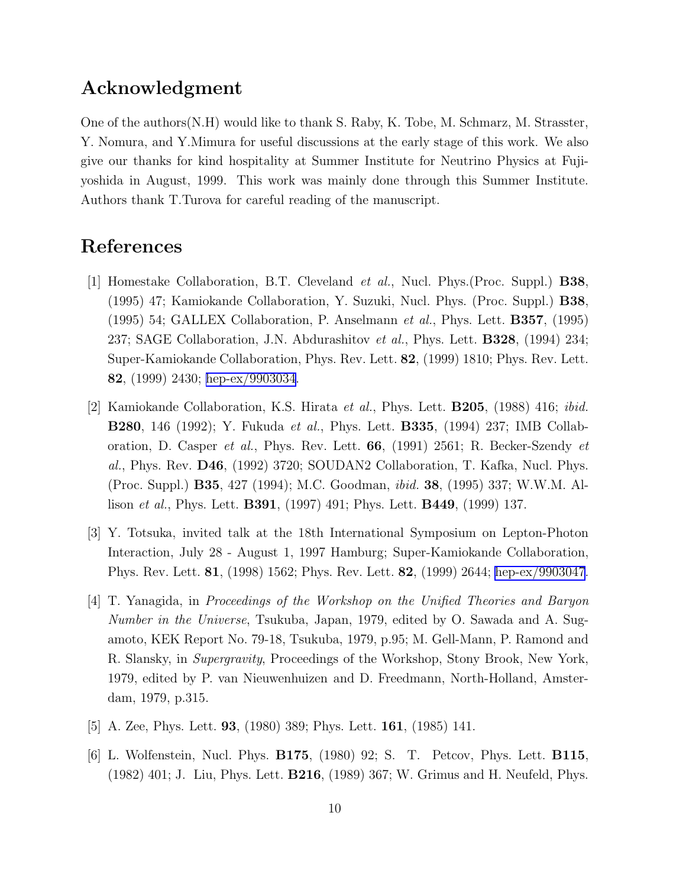## <span id="page-9-0"></span>Acknowledgment

One of the authors(N.H) would like to thank S. Raby, K. Tobe, M. Schmarz, M. Strasster, Y. Nomura, and Y.Mimura for useful discussions at the early stage of this work. We also give our thanks for kind hospitality at Summer Institute for Neutrino Physics at Fujiyoshida in August, 1999. This work was mainly done through this Summer Institute. Authors thank T.Turova for careful reading of the manuscript.

## References

- [1] Homestake Collaboration, B.T. Cleveland et al., Nucl. Phys.(Proc. Suppl.) B38, (1995) 47; Kamiokande Collaboration, Y. Suzuki, Nucl. Phys. (Proc. Suppl.) B38, (1995) 54; GALLEX Collaboration, P. Anselmann et al., Phys. Lett. B357, (1995) 237; SAGE Collaboration, J.N. Abdurashitov et al., Phys. Lett. **B328**, (1994) 234; Super-Kamiokande Collaboration, Phys. Rev. Lett. 82, (1999) 1810; Phys. Rev. Lett. 82, (1999) 2430; [hep-ex/9903034](http://arXiv.org/abs/hep-ex/9903034).
- [2] Kamiokande Collaboration, K.S. Hirata et al., Phys. Lett. B205, (1988) 416; ibid. **B280**, 146 (1992); Y. Fukuda *et al.*, Phys. Lett. **B335**, (1994) 237; IMB Collaboration, D. Casper et al., Phys. Rev. Lett. 66, (1991) 2561; R. Becker-Szendy et al., Phys. Rev. D46, (1992) 3720; SOUDAN2 Collaboration, T. Kafka, Nucl. Phys. (Proc. Suppl.) B35, 427 (1994); M.C. Goodman, ibid. 38, (1995) 337; W.W.M. Allison *et al.*, Phys. Lett. **B391**, (1997) 491; Phys. Lett. **B449**, (1999) 137.
- [3] Y. Totsuka, invited talk at the 18th International Symposium on Lepton-Photon Interaction, July 28 - August 1, 1997 Hamburg; Super-Kamiokande Collaboration, Phys. Rev. Lett. 81, (1998) 1562; Phys. Rev. Lett. 82, (1999) 2644; [hep-ex/9903047](http://arXiv.org/abs/hep-ex/9903047).
- [4] T. Yanagida, in Proceedings of the Workshop on the Unified Theories and Baryon Number in the Universe, Tsukuba, Japan, 1979, edited by O. Sawada and A. Sugamoto, KEK Report No. 79-18, Tsukuba, 1979, p.95; M. Gell-Mann, P. Ramond and R. Slansky, in Supergravity, Proceedings of the Workshop, Stony Brook, New York, 1979, edited by P. van Nieuwenhuizen and D. Freedmann, North-Holland, Amsterdam, 1979, p.315.
- [5] A. Zee, Phys. Lett. 93, (1980) 389; Phys. Lett. 161, (1985) 141.
- [6] L. Wolfenstein, Nucl. Phys. B175, (1980) 92; S. T. Petcov, Phys. Lett. B115, (1982) 401; J. Liu, Phys. Lett. B216, (1989) 367; W. Grimus and H. Neufeld, Phys.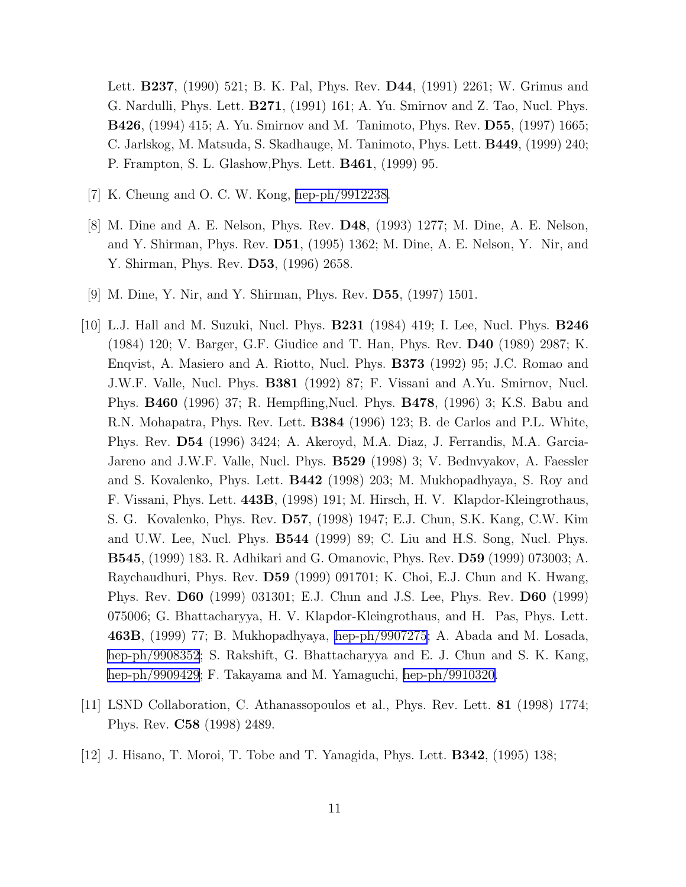<span id="page-10-0"></span>Lett. B237, (1990) 521; B. K. Pal, Phys. Rev. D44, (1991) 2261; W. Grimus and G. Nardulli, Phys. Lett. B271, (1991) 161; A. Yu. Smirnov and Z. Tao, Nucl. Phys. B426, (1994) 415; A. Yu. Smirnov and M. Tanimoto, Phys. Rev. D55, (1997) 1665; C. Jarlskog, M. Matsuda, S. Skadhauge, M. Tanimoto, Phys. Lett. B449, (1999) 240; P. Frampton, S. L. Glashow,Phys. Lett. B461, (1999) 95.

- [7] K. Cheung and O. C. W. Kong, [hep-ph/9912238.](http://arXiv.org/abs/hep-ph/9912238)
- [8] M. Dine and A. E. Nelson, Phys. Rev. D48, (1993) 1277; M. Dine, A. E. Nelson, and Y. Shirman, Phys. Rev. D51, (1995) 1362; M. Dine, A. E. Nelson, Y. Nir, and Y. Shirman, Phys. Rev. D53, (1996) 2658.
- [9] M. Dine, Y. Nir, and Y. Shirman, Phys. Rev. D55, (1997) 1501.
- [10] L.J. Hall and M. Suzuki, Nucl. Phys. B231 (1984) 419; I. Lee, Nucl. Phys. B246 (1984) 120; V. Barger, G.F. Giudice and T. Han, Phys. Rev. D40 (1989) 2987; K. Enqvist, A. Masiero and A. Riotto, Nucl. Phys. B373 (1992) 95; J.C. Romao and J.W.F. Valle, Nucl. Phys. B381 (1992) 87; F. Vissani and A.Yu. Smirnov, Nucl. Phys. B460 (1996) 37; R. Hempfling,Nucl. Phys. B478, (1996) 3; K.S. Babu and R.N. Mohapatra, Phys. Rev. Lett. B384 (1996) 123; B. de Carlos and P.L. White, Phys. Rev. D54 (1996) 3424; A. Akeroyd, M.A. Diaz, J. Ferrandis, M.A. Garcia-Jareno and J.W.F. Valle, Nucl. Phys. B529 (1998) 3; V. Bednvyakov, A. Faessler and S. Kovalenko, Phys. Lett. B442 (1998) 203; M. Mukhopadhyaya, S. Roy and F. Vissani, Phys. Lett. 443B, (1998) 191; M. Hirsch, H. V. Klapdor-Kleingrothaus, S. G. Kovalenko, Phys. Rev. D57, (1998) 1947; E.J. Chun, S.K. Kang, C.W. Kim and U.W. Lee, Nucl. Phys. B544 (1999) 89; C. Liu and H.S. Song, Nucl. Phys. B545, (1999) 183. R. Adhikari and G. Omanovic, Phys. Rev. D59 (1999) 073003; A. Raychaudhuri, Phys. Rev. D59 (1999) 091701; K. Choi, E.J. Chun and K. Hwang, Phys. Rev. D60 (1999) 031301; E.J. Chun and J.S. Lee, Phys. Rev. D60 (1999) 075006; G. Bhattacharyya, H. V. Klapdor-Kleingrothaus, and H. Pas, Phys. Lett. 463B, (1999) 77; B. Mukhopadhyaya, [hep-ph/9907275](http://arXiv.org/abs/hep-ph/9907275); A. Abada and M. Losada, [hep-ph/9908352](http://arXiv.org/abs/hep-ph/9908352); S. Rakshift, G. Bhattacharyya and E. J. Chun and S. K. Kang, [hep-ph/9909429](http://arXiv.org/abs/hep-ph/9909429); F. Takayama and M. Yamaguchi, [hep-ph/9910320.](http://arXiv.org/abs/hep-ph/9910320)
- [11] LSND Collaboration, C. Athanassopoulos et al., Phys. Rev. Lett. 81 (1998) 1774; Phys. Rev. C58 (1998) 2489.
- [12] J. Hisano, T. Moroi, T. Tobe and T. Yanagida, Phys. Lett. B342, (1995) 138;